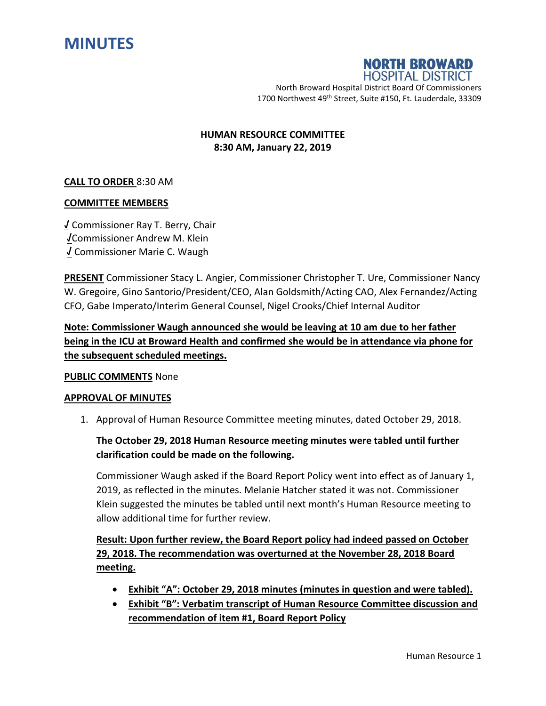



North Broward Hospital District Board Of Commissioners 1700 Northwest 49<sup>th</sup> Street, Suite #150, Ft. Lauderdale, 33309

### **HUMAN RESOURCE COMMITTEE 8:30 AM, January 22, 2019**

### **CALL TO ORDER** 8:30 AM

### **COMMITTEE MEMBERS**

**√** Commissioner Ray T. Berry, Chair **√**Commissioner Andrew M. Klein **√** Commissioner Marie C. Waugh

**PRESENT** Commissioner Stacy L. Angier, Commissioner Christopher T. Ure, Commissioner Nancy W. Gregoire, Gino Santorio/President/CEO, Alan Goldsmith/Acting CAO, Alex Fernandez/Acting CFO, Gabe Imperato/Interim General Counsel, Nigel Crooks/Chief Internal Auditor

**Note: Commissioner Waugh announced she would be leaving at 10 am due to her father being in the ICU at Broward Health and confirmed she would be in attendance via phone for the subsequent scheduled meetings.**

#### **PUBLIC COMMENTS** None

#### **APPROVAL OF MINUTES**

1. Approval of Human Resource Committee meeting minutes, dated October 29, 2018.

## **The October 29, 2018 Human Resource meeting minutes were tabled until further clarification could be made on the following.**

Commissioner Waugh asked if the Board Report Policy went into effect as of January 1, 2019, as reflected in the minutes. Melanie Hatcher stated it was not. Commissioner Klein suggested the minutes be tabled until next month's Human Resource meeting to allow additional time for further review.

# **Result: Upon further review, the Board Report policy had indeed passed on October 29, 2018. The recommendation was overturned at the November 28, 2018 Board meeting.**

- **Exhibit "A": October 29, 2018 minutes (minutes in question and were tabled).**
- **Exhibit "B": Verbatim transcript of Human Resource Committee discussion and recommendation of item #1, Board Report Policy**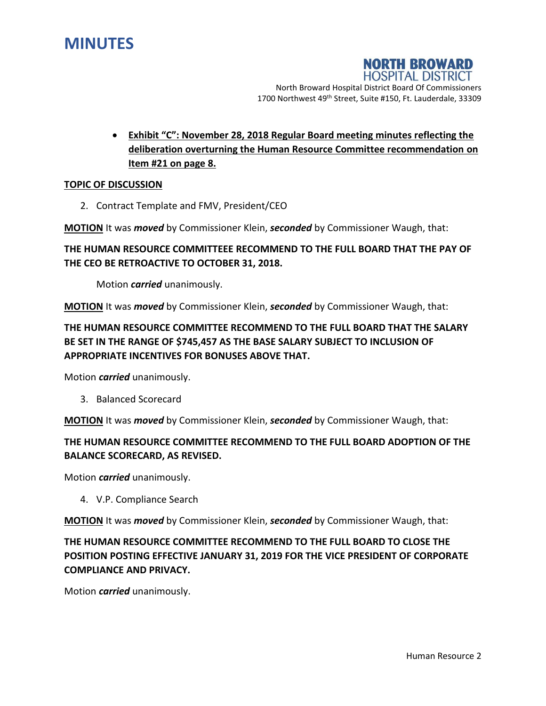

### **NORTH BROWARD HOSPITAL DISTRICT**

North Broward Hospital District Board Of Commissioners 1700 Northwest 49<sup>th</sup> Street, Suite #150, Ft. Lauderdale, 33309

 **Exhibit "C": November 28, 2018 Regular Board meeting minutes reflecting the deliberation overturning the Human Resource Committee recommendation on Item #21 on page 8.**

#### **TOPIC OF DISCUSSION**

2. Contract Template and FMV, President/CEO

**MOTION** It was *moved* by Commissioner Klein, *seconded* by Commissioner Waugh, that:

### **THE HUMAN RESOURCE COMMITTEEE RECOMMEND TO THE FULL BOARD THAT THE PAY OF THE CEO BE RETROACTIVE TO OCTOBER 31, 2018.**

Motion *carried* unanimously.

**MOTION** It was *moved* by Commissioner Klein, *seconded* by Commissioner Waugh, that:

# **THE HUMAN RESOURCE COMMITTEE RECOMMEND TO THE FULL BOARD THAT THE SALARY BE SET IN THE RANGE OF \$745,457 AS THE BASE SALARY SUBJECT TO INCLUSION OF APPROPRIATE INCENTIVES FOR BONUSES ABOVE THAT.**

Motion *carried* unanimously.

3. Balanced Scorecard

**MOTION** It was *moved* by Commissioner Klein, *seconded* by Commissioner Waugh, that:

# **THE HUMAN RESOURCE COMMITTEE RECOMMEND TO THE FULL BOARD ADOPTION OF THE BALANCE SCORECARD, AS REVISED.**

Motion *carried* unanimously.

4. V.P. Compliance Search

**MOTION** It was *moved* by Commissioner Klein, *seconded* by Commissioner Waugh, that:

# **THE HUMAN RESOURCE COMMITTEE RECOMMEND TO THE FULL BOARD TO CLOSE THE POSITION POSTING EFFECTIVE JANUARY 31, 2019 FOR THE VICE PRESIDENT OF CORPORATE COMPLIANCE AND PRIVACY.**

Motion *carried* unanimously.